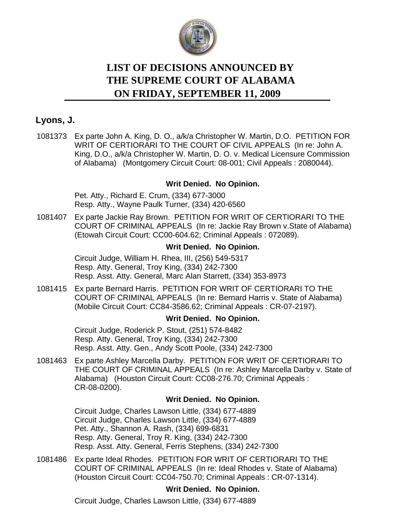

# **LIST OF DECISIONS ANNOUNCED BY ON FRIDAY, SEPTEMBER 11, 2009 THE SUPREME COURT OF ALABAMA**

# **Lyons, J.**

[1081373](https://efile.judicial.state.al.us/displaydocs.cfm?no=179850&event=2QT0R57IT) Ex parte John A. King, D. O., a/k/a Christopher W. Martin, D.O. PETITION FOR WRIT OF CERTIORARI TO THE COURT OF CIVIL APPEALS (In re: John A. King, D.O., a/k/a Christopher W. Martin, D. O. v. Medical Licensure Commission of Alabama) (Montgomery Circuit Court: 08-001; Civil Appeals : 2080044).

### **[Writ Denied. No Opinion.](https://efile.judicial.state.al.us/displaydocs.cfm?no=179850&event=2QT0R57IT)**

Pet. Atty., Richard E. Crum, (334) 677-3000 Resp. Atty., Wayne Paulk Turner, (334) 420-6560

[1081407](https://efile.judicial.state.al.us/displaydocs.cfm?no=179851&event=2QT0R5IXC) Ex parte Jackie Ray Brown. PETITION FOR WRIT OF CERTIORARI TO THE COURT OF CRIMINAL APPEALS (In re: Jackie Ray Brown v.State of Alabama) (Etowah Circuit Court: CC00-604.62; Criminal Appeals : 072089).

### **[Writ Denied. No Opinion.](https://efile.judicial.state.al.us/displaydocs.cfm?no=179851&event=2QT0R5IXC)**

Circuit Judge, William H. Rhea, III, (256) 549-5317 Resp. Atty. General, Troy King, (334) 242-7300 Resp. Asst. Atty. General, Marc Alan Starrett, (334) 353-8973

[1081415](https://efile.judicial.state.al.us/displaydocs.cfm?no=179853&event=2QT0R60E0) Ex parte Bernard Harris. PETITION FOR WRIT OF CERTIORARI TO THE COURT OF CRIMINAL APPEALS (In re: Bernard Harris v. State of Alabama) (Mobile Circuit Court: CC84-3586.62; Criminal Appeals : CR-07-2197).

### **[Writ Denied. No Opinion.](https://efile.judicial.state.al.us/displaydocs.cfm?no=179853&event=2QT0R60E0)**

Circuit Judge, Roderick P. Stout, (251) 574-8482 Resp. Atty. General, Troy King, (334) 242-7300 Resp. Asst. Atty. Gen., Andy Scott Poole, (334) 242-7300

[1081463](https://efile.judicial.state.al.us/displaydocs.cfm?no=179854&event=2QT0R6HYO) Ex parte Ashley Marcella Darby. PETITION FOR WRIT OF CERTIORARI TO THE COURT OF CRIMINAL APPEALS (In re: Ashley Marcella Darby v. State of Alabama) (Houston Circuit Court: CC08-276.70; Criminal Appeals : CR-08-0200).

### **[Writ Denied. No Opinion.](https://efile.judicial.state.al.us/displaydocs.cfm?no=179854&event=2QT0R6HYO)**

Circuit Judge, Charles Lawson Little, (334) 677-4889 Circuit Judge, Charles Lawson Little, (334) 677-4889 Pet. Atty., Shannon A. Rash, (334) 699-6831 Resp. Atty. General, Troy R. King, (334) 242-7300 Resp. Asst. Atty. General, Ferris Stephens, (334) 242-7300

[1081486](https://efile.judicial.state.al.us/displaydocs.cfm?no=179856&event=2QT0R6XVB) Ex parte Ideal Rhodes. PETITION FOR WRIT OF CERTIORARI TO THE COURT OF CRIMINAL APPEALS (In re: Ideal Rhodes v. State of Alabama) (Houston Circuit Court: CC04-750.70; Criminal Appeals : CR-07-1314).

# **[Writ Denied. No Opinion.](https://efile.judicial.state.al.us/displaydocs.cfm?no=179856&event=2QT0R6XVB)**

Circuit Judge, Charles Lawson Little, (334) 677-4889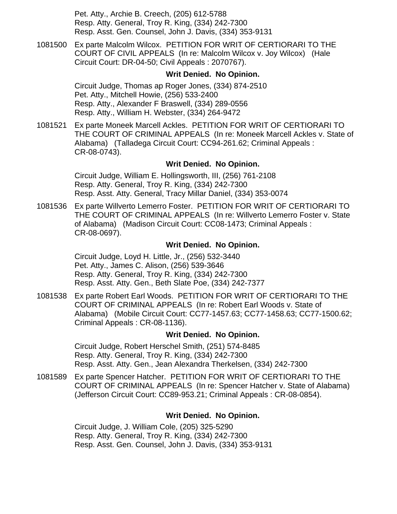Pet. Atty., Archie B. Creech, (205) 612-5788 Resp. Atty. General, Troy R. King, (334) 242-7300 Resp. Asst. Gen. Counsel, John J. Davis, (334) 353-9131

[1081500](https://efile.judicial.state.al.us/displaydocs.cfm?no=179858&event=2QT0R7CST) Ex parte Malcolm Wilcox. PETITION FOR WRIT OF CERTIORARI TO THE COURT OF CIVIL APPEALS (In re: Malcolm Wilcox v. Joy Wilcox) (Hale Circuit Court: DR-04-50; Civil Appeals : 2070767).

### **[Writ Denied. No Opinion.](https://efile.judicial.state.al.us/displaydocs.cfm?no=179858&event=2QT0R7CST)**

Circuit Judge, Thomas ap Roger Jones, (334) 874-2510 Pet. Atty., Mitchell Howie, (256) 533-2400 Resp. Atty., Alexander F Braswell, (334) 289-0556 Resp. Atty., William H. Webster, (334) 264-9472

[1081521](https://efile.judicial.state.al.us/displaydocs.cfm?no=179860&event=2QT0R7U7E) Ex parte Moneek Marcell Ackles. PETITION FOR WRIT OF CERTIORARI TO THE COURT OF CRIMINAL APPEALS (In re: Moneek Marcell Ackles v. State of Alabama) (Talladega Circuit Court: CC94-261.62; Criminal Appeals : CR-08-0743).

### **[Writ Denied. No Opinion.](https://efile.judicial.state.al.us/displaydocs.cfm?no=179860&event=2QT0R7U7E)**

Circuit Judge, William E. Hollingsworth, III, (256) 761-2108 Resp. Atty. General, Troy R. King, (334) 242-7300 Resp. Asst. Atty. General, Tracy Millar Daniel, (334) 353-0074

[1081536](https://efile.judicial.state.al.us/displaydocs.cfm?no=179861&event=2QT0R8GCX) Ex parte Willverto Lemerro Foster. PETITION FOR WRIT OF CERTIORARI TO THE COURT OF CRIMINAL APPEALS (In re: Willverto Lemerro Foster v. State of Alabama) (Madison Circuit Court: CC08-1473; Criminal Appeals : CR-08-0697).

#### **[Writ Denied. No Opinion.](https://efile.judicial.state.al.us/displaydocs.cfm?no=179861&event=2QT0R8GCX)**

Circuit Judge, Loyd H. Little, Jr., (256) 532-3440 Pet. Atty., James C. Alison, (256) 539-3646 Resp. Atty. General, Troy R. King, (334) 242-7300 Resp. Asst. Atty. Gen., Beth Slate Poe, (334) 242-7377

[1081538](https://efile.judicial.state.al.us/displaydocs.cfm?no=179862&event=2QT0R8QUV) Ex parte Robert Earl Woods. PETITION FOR WRIT OF CERTIORARI TO THE COURT OF CRIMINAL APPEALS (In re: Robert Earl Woods v. State of Alabama) (Mobile Circuit Court: CC77-1457.63; CC77-1458.63; CC77-1500.62; Criminal Appeals : CR-08-1136).

#### **[Writ Denied. No Opinion.](https://efile.judicial.state.al.us/displaydocs.cfm?no=179862&event=2QT0R8QUV)**

Circuit Judge, Robert Herschel Smith, (251) 574-8485 Resp. Atty. General, Troy R. King, (334) 242-7300 Resp. Asst. Atty. Gen., Jean Alexandra Therkelsen, (334) 242-7300

[1081589](https://efile.judicial.state.al.us/displaydocs.cfm?no=179865&event=2QT0R9R1I) Ex parte Spencer Hatcher. PETITION FOR WRIT OF CERTIORARI TO THE COURT OF CRIMINAL APPEALS (In re: Spencer Hatcher v. State of Alabama) (Jefferson Circuit Court: CC89-953.21; Criminal Appeals : CR-08-0854).

### **[Writ Denied. No Opinion.](https://efile.judicial.state.al.us/displaydocs.cfm?no=179865&event=2QT0R9R1I)**

Circuit Judge, J. William Cole, (205) 325-5290 Resp. Atty. General, Troy R. King, (334) 242-7300 Resp. Asst. Gen. Counsel, John J. Davis, (334) 353-9131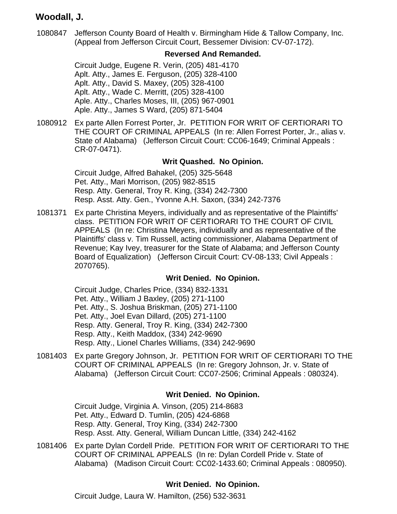# **Woodall, J.**

[1080847](https://efile.judicial.state.al.us/displaydocs.cfm?no=179956&event=2QT0SB9XV) Jefferson County Board of Health v. Birmingham Hide & Tallow Company, Inc. (Appeal from Jefferson Circuit Court, Bessemer Division: CV-07-172).

### **[Reversed And Remanded.](https://efile.judicial.state.al.us/displaydocs.cfm?no=179956&event=2QT0SB9XV)**

Circuit Judge, Eugene R. Verin, (205) 481-4170 Aplt. Atty., James E. Ferguson, (205) 328-4100 Aplt. Atty., David S. Maxey, (205) 328-4100 Aplt. Atty., Wade C. Merritt, (205) 328-4100 Aple. Atty., Charles Moses, III, (205) 967-0901 Aple. Atty., James S Ward, (205) 871-5404

[1080912](https://efile.judicial.state.al.us/displaydocs.cfm?no=179870&event=2QT0RENCK) Ex parte Allen Forrest Porter, Jr. PETITION FOR WRIT OF CERTIORARI TO THE COURT OF CRIMINAL APPEALS (In re: Allen Forrest Porter, Jr., alias v. State of Alabama) (Jefferson Circuit Court: CC06-1649; Criminal Appeals : CR-07-0471).

### **[Writ Quashed. No Opinion.](https://efile.judicial.state.al.us/displaydocs.cfm?no=179870&event=2QT0RENCK)**

Circuit Judge, Alfred Bahakel, (205) 325-5648 Pet. Atty., Mari Morrison, (205) 982-8515 Resp. Atty. General, Troy R. King, (334) 242-7300 Resp. Asst. Atty. Gen., Yvonne A.H. Saxon, (334) 242-7376

[1081371](https://efile.judicial.state.al.us/displaydocs.cfm?no=179871&event=2QT0REYIY) Ex parte Christina Meyers, individually and as representative of the Plaintiffs' class. PETITION FOR WRIT OF CERTIORARI TO THE COURT OF CIVIL APPEALS (In re: Christina Meyers, individually and as representative of the Plaintiffs' class v. Tim Russell, acting commissioner, Alabama Department of Revenue; Kay Ivey, treasurer for the State of Alabama; and Jefferson County Board of Equalization) (Jefferson Circuit Court: CV-08-133; Civil Appeals : 2070765).

### **[Writ Denied. No Opinion.](https://efile.judicial.state.al.us/displaydocs.cfm?no=179871&event=2QT0REYIY)**

Circuit Judge, Charles Price, (334) 832-1331 Pet. Atty., William J Baxley, (205) 271-1100 Pet. Atty., S. Joshua Briskman, (205) 271-1100 Pet. Atty., Joel Evan Dillard, (205) 271-1100 Resp. Atty. General, Troy R. King, (334) 242-7300 Resp. Atty., Keith Maddox, (334) 242-9690 Resp. Atty., Lionel Charles Williams, (334) 242-9690

[1081403](https://efile.judicial.state.al.us/displaydocs.cfm?no=179872&event=2QT0RFINR) Ex parte Gregory Johnson, Jr. PETITION FOR WRIT OF CERTIORARI TO THE COURT OF CRIMINAL APPEALS (In re: Gregory Johnson, Jr. v. State of Alabama) (Jefferson Circuit Court: CC07-2506; Criminal Appeals : 080324).

### **[Writ Denied. No Opinion.](https://efile.judicial.state.al.us/displaydocs.cfm?no=179872&event=2QT0RFINR)**

Circuit Judge, Virginia A. Vinson, (205) 214-8683 Pet. Atty., Edward D. Tumlin, (205) 424-6868 Resp. Atty. General, Troy King, (334) 242-7300 Resp. Asst. Atty. General, William Duncan Little, (334) 242-4162

[1081406](https://efile.judicial.state.al.us/displaydocs.cfm?no=179873&event=2QT0RG3E4) Ex parte Dylan Cordell Pride. PETITION FOR WRIT OF CERTIORARI TO THE COURT OF CRIMINAL APPEALS (In re: Dylan Cordell Pride v. State of Alabama) (Madison Circuit Court: CC02-1433.60; Criminal Appeals : 080950).

# **[Writ Denied. No Opinion.](https://efile.judicial.state.al.us/displaydocs.cfm?no=179873&event=2QT0RG3E4)**

Circuit Judge, Laura W. Hamilton, (256) 532-3631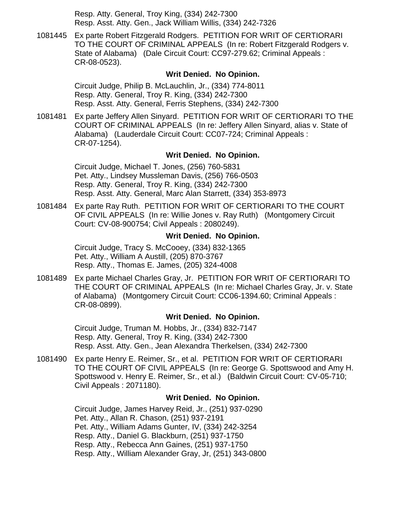Resp. Atty. General, Troy King, (334) 242-7300 Resp. Asst. Atty. Gen., Jack William Willis, (334) 242-7326

[1081445](https://efile.judicial.state.al.us/displaydocs.cfm?no=179874&event=2QT0RGO3I) Ex parte Robert Fitzgerald Rodgers. PETITION FOR WRIT OF CERTIORARI TO THE COURT OF CRIMINAL APPEALS (In re: Robert Fitzgerald Rodgers v. State of Alabama) (Dale Circuit Court: CC97-279.62; Criminal Appeals : CR-08-0523).

### **[Writ Denied. No Opinion.](https://efile.judicial.state.al.us/displaydocs.cfm?no=179874&event=2QT0RGO3I)**

Circuit Judge, Philip B. McLauchlin, Jr., (334) 774-8011 Resp. Atty. General, Troy R. King, (334) 242-7300 Resp. Asst. Atty. General, Ferris Stephens, (334) 242-7300

[1081481](https://efile.judicial.state.al.us/displaydocs.cfm?no=179876&event=2QT0RHBRQ) Ex parte Jeffery Allen Sinyard. PETITION FOR WRIT OF CERTIORARI TO THE COURT OF CRIMINAL APPEALS (In re: Jeffery Allen Sinyard, alias v. State of Alabama) (Lauderdale Circuit Court: CC07-724; Criminal Appeals : CR-07-1254).

### **[Writ Denied. No Opinion.](https://efile.judicial.state.al.us/displaydocs.cfm?no=179876&event=2QT0RHBRQ)**

Circuit Judge, Michael T. Jones, (256) 760-5831 Pet. Atty., Lindsey Mussleman Davis, (256) 766-0503 Resp. Atty. General, Troy R. King, (334) 242-7300 Resp. Asst. Atty. General, Marc Alan Starrett, (334) 353-8973

[1081484](https://efile.judicial.state.al.us/displaydocs.cfm?no=179877&event=2QT0RHS9S) Ex parte Ray Ruth. PETITION FOR WRIT OF CERTIORARI TO THE COURT OF CIVIL APPEALS (In re: Willie Jones v. Ray Ruth) (Montgomery Circuit Court: CV-08-900754; Civil Appeals : 2080249).

### **[Writ Denied. No Opinion.](https://efile.judicial.state.al.us/displaydocs.cfm?no=179877&event=2QT0RHS9S)**

Circuit Judge, Tracy S. McCooey, (334) 832-1365 Pet. Atty., William A Austill, (205) 870-3767 Resp. Atty., Thomas E. James, (205) 324-4008

[1081489](https://efile.judicial.state.al.us/displaydocs.cfm?no=179878&event=2QT0RI9NI) Ex parte Michael Charles Gray, Jr. PETITION FOR WRIT OF CERTIORARI TO THE COURT OF CRIMINAL APPEALS (In re: Michael Charles Gray, Jr. v. State of Alabama) (Montgomery Circuit Court: CC06-1394.60; Criminal Appeals : CR-08-0899).

#### **[Writ Denied. No Opinion.](https://efile.judicial.state.al.us/displaydocs.cfm?no=179878&event=2QT0RI9NI)**

Circuit Judge, Truman M. Hobbs, Jr., (334) 832-7147 Resp. Atty. General, Troy R. King, (334) 242-7300 Resp. Asst. Atty. Gen., Jean Alexandra Therkelsen, (334) 242-7300

[1081490](https://efile.judicial.state.al.us/displaydocs.cfm?no=179879&event=2QT0RIOGN) Ex parte Henry E. Reimer, Sr., et al. PETITION FOR WRIT OF CERTIORARI TO THE COURT OF CIVIL APPEALS (In re: George G. Spottswood and Amy H. Spottswood v. Henry E. Reimer, Sr., et al.) (Baldwin Circuit Court: CV-05-710; Civil Appeals : 2071180).

#### **[Writ Denied. No Opinion.](https://efile.judicial.state.al.us/displaydocs.cfm?no=179879&event=2QT0RIOGN)**

Circuit Judge, James Harvey Reid, Jr., (251) 937-0290 Pet. Atty., Allan R. Chason, (251) 937-2191 Pet. Atty., William Adams Gunter, IV, (334) 242-3254 Resp. Atty., Daniel G. Blackburn, (251) 937-1750 Resp. Atty., Rebecca Ann Gaines, (251) 937-1750 Resp. Atty., William Alexander Gray, Jr, (251) 343-0800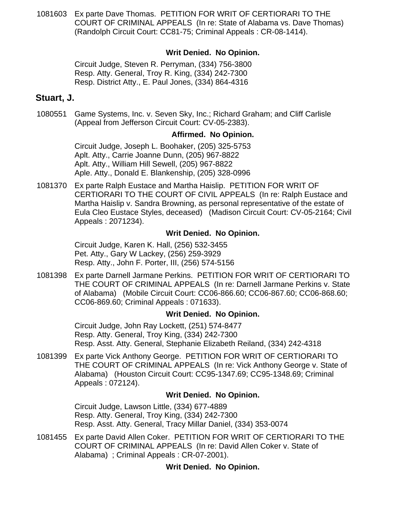[1081603](https://efile.judicial.state.al.us/displaydocs.cfm?no=179880&event=2QT0RJ1BN) Ex parte Dave Thomas. PETITION FOR WRIT OF CERTIORARI TO THE COURT OF CRIMINAL APPEALS (In re: State of Alabama vs. Dave Thomas) (Randolph Circuit Court: CC81-75; Criminal Appeals : CR-08-1414).

## **[Writ Denied. No Opinion.](https://efile.judicial.state.al.us/displaydocs.cfm?no=179880&event=2QT0RJ1BN)**

Circuit Judge, Steven R. Perryman, (334) 756-3800 Resp. Atty. General, Troy R. King, (334) 242-7300 Resp. District Atty., E. Paul Jones, (334) 864-4316

### **Stuart, J.**

1080551 Game Systems, Inc. v. Seven Sky, Inc.; Richard Graham; and Cliff Carlisle (Appeal from Jefferson Circuit Court: CV-05-2383).

### **Affirmed. No Opinion.**

Circuit Judge, Joseph L. Boohaker, (205) 325-5753 Aplt. Atty., Carrie Joanne Dunn, (205) 967-8822 Aplt. Atty., William Hill Sewell, (205) 967-8822 Aple. Atty., Donald E. Blankenship, (205) 328-0996

[1081370](https://efile.judicial.state.al.us/displaydocs.cfm?no=179882&event=2QT0RJH46) Ex parte Ralph Eustace and Martha Haislip. PETITION FOR WRIT OF CERTIORARI TO THE COURT OF CIVIL APPEALS (In re: Ralph Eustace and Martha Haislip v. Sandra Browning, as personal representative of the estate of Eula Cleo Eustace Styles, deceased) (Madison Circuit Court: CV-05-2164; Civil Appeals : 2071234).

### **[Writ Denied. No Opinion.](https://efile.judicial.state.al.us/displaydocs.cfm?no=179882&event=2QT0RJH46)**

Circuit Judge, Karen K. Hall, (256) 532-3455 Pet. Atty., Gary W Lackey, (256) 259-3929 Resp. Atty., John F. Porter, III, (256) 574-5156

[1081398](https://efile.judicial.state.al.us/displaydocs.cfm?no=179883&event=2QT0RK1SP) Ex parte Darnell Jarmane Perkins. PETITION FOR WRIT OF CERTIORARI TO THE COURT OF CRIMINAL APPEALS (In re: Darnell Jarmane Perkins v. State of Alabama) (Mobile Circuit Court: CC06-866.60; CC06-867.60; CC06-868.60; CC06-869.60; Criminal Appeals : 071633).

#### **[Writ Denied. No Opinion.](https://efile.judicial.state.al.us/displaydocs.cfm?no=179883&event=2QT0RK1SP)**

Circuit Judge, John Ray Lockett, (251) 574-8477 Resp. Atty. General, Troy King, (334) 242-7300 Resp. Asst. Atty. General, Stephanie Elizabeth Reiland, (334) 242-4318

[1081399](https://efile.judicial.state.al.us/displaydocs.cfm?no=179884&event=2QT0RKOZI) Ex parte Vick Anthony George. PETITION FOR WRIT OF CERTIORARI TO THE COURT OF CRIMINAL APPEALS (In re: Vick Anthony George v. State of Alabama) (Houston Circuit Court: CC95-1347.69; CC95-1348.69; Criminal Appeals : 072124).

### **[Writ Denied. No Opinion.](https://efile.judicial.state.al.us/displaydocs.cfm?no=179884&event=2QT0RKOZI)**

Circuit Judge, Lawson Little, (334) 677-4889 Resp. Atty. General, Troy King, (334) 242-7300 Resp. Asst. Atty. General, Tracy Millar Daniel, (334) 353-0074

[1081455](https://efile.judicial.state.al.us/displaydocs.cfm?no=179885&event=2QT0RLETN) Ex parte David Allen Coker. PETITION FOR WRIT OF CERTIORARI TO THE COURT OF CRIMINAL APPEALS (In re: David Allen Coker v. State of Alabama) ; Criminal Appeals : CR-07-2001).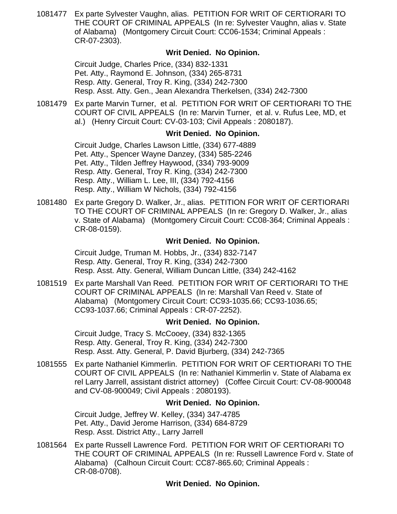[1081477](https://efile.judicial.state.al.us/displaydocs.cfm?no=179886&event=2QT0RLS6A) Ex parte Sylvester Vaughn, alias. PETITION FOR WRIT OF CERTIORARI TO THE COURT OF CRIMINAL APPEALS (In re: Sylvester Vaughn, alias v. State of Alabama) (Montgomery Circuit Court: CC06-1534; Criminal Appeals : CR-07-2303).

### **[Writ Denied. No Opinion.](https://efile.judicial.state.al.us/displaydocs.cfm?no=179886&event=2QT0RLS6A)**

Circuit Judge, Charles Price, (334) 832-1331 Pet. Atty., Raymond E. Johnson, (334) 265-8731 Resp. Atty. General, Troy R. King, (334) 242-7300 Resp. Asst. Atty. Gen., Jean Alexandra Therkelsen, (334) 242-7300

[1081479](https://efile.judicial.state.al.us/displaydocs.cfm?no=179887&event=2QT0RM2ZS) Ex parte Marvin Turner, et al. PETITION FOR WRIT OF CERTIORARI TO THE COURT OF CIVIL APPEALS (In re: Marvin Turner, et al. v. Rufus Lee, MD, et al.) (Henry Circuit Court: CV-03-103; Civil Appeals : 2080187).

### **[Writ Denied. No Opinion.](https://efile.judicial.state.al.us/displaydocs.cfm?no=179887&event=2QT0RM2ZS)**

Circuit Judge, Charles Lawson Little, (334) 677-4889 Pet. Atty., Spencer Wayne Danzey, (334) 585-2246 Pet. Atty., Tilden Jeffrey Haywood, (334) 793-9009 Resp. Atty. General, Troy R. King, (334) 242-7300 Resp. Atty., William L. Lee, III, (334) 792-4156 Resp. Atty., William W Nichols, (334) 792-4156

[1081480](https://efile.judicial.state.al.us/displaydocs.cfm?no=179889&event=2QT0RMFYL) Ex parte Gregory D. Walker, Jr., alias. PETITION FOR WRIT OF CERTIORARI TO THE COURT OF CRIMINAL APPEALS (In re: Gregory D. Walker, Jr., alias v. State of Alabama) (Montgomery Circuit Court: CC08-364; Criminal Appeals : CR-08-0159).

### **[Writ Denied. No Opinion.](https://efile.judicial.state.al.us/displaydocs.cfm?no=179889&event=2QT0RMFYL)**

Circuit Judge, Truman M. Hobbs, Jr., (334) 832-7147 Resp. Atty. General, Troy R. King, (334) 242-7300 Resp. Asst. Atty. General, William Duncan Little, (334) 242-4162

[1081519](https://efile.judicial.state.al.us/displaydocs.cfm?no=179890&event=2QT0RMU5J) Ex parte Marshall Van Reed. PETITION FOR WRIT OF CERTIORARI TO THE COURT OF CRIMINAL APPEALS (In re: Marshall Van Reed v. State of Alabama) (Montgomery Circuit Court: CC93-1035.66; CC93-1036.65; CC93-1037.66; Criminal Appeals : CR-07-2252).

### **[Writ Denied. No Opinion.](https://efile.judicial.state.al.us/displaydocs.cfm?no=179890&event=2QT0RMU5J)**

Circuit Judge, Tracy S. McCooey, (334) 832-1365 Resp. Atty. General, Troy R. King, (334) 242-7300 Resp. Asst. Atty. General, P. David Bjurberg, (334) 242-7365

[1081555](https://efile.judicial.state.al.us/displaydocs.cfm?no=179891&event=2QT0RN8F6) Ex parte Nathaniel Kimmerlin. PETITION FOR WRIT OF CERTIORARI TO THE COURT OF CIVIL APPEALS (In re: Nathaniel Kimmerlin v. State of Alabama ex rel Larry Jarrell, assistant district attorney) (Coffee Circuit Court: CV-08-900048 and CV-08-900049; Civil Appeals : 2080193).

### **[Writ Denied. No Opinion.](https://efile.judicial.state.al.us/displaydocs.cfm?no=179891&event=2QT0RN8F6)**

Circuit Judge, Jeffrey W. Kelley, (334) 347-4785 Pet. Atty., David Jerome Harrison, (334) 684-8729 Resp. Asst. District Atty., Larry Jarrell

[1081564](https://efile.judicial.state.al.us/displaydocs.cfm?no=179892&event=2QT0RNQ6C) Ex parte Russell Lawrence Ford. PETITION FOR WRIT OF CERTIORARI TO THE COURT OF CRIMINAL APPEALS (In re: Russell Lawrence Ford v. State of Alabama) (Calhoun Circuit Court: CC87-865.60; Criminal Appeals : CR-08-0708).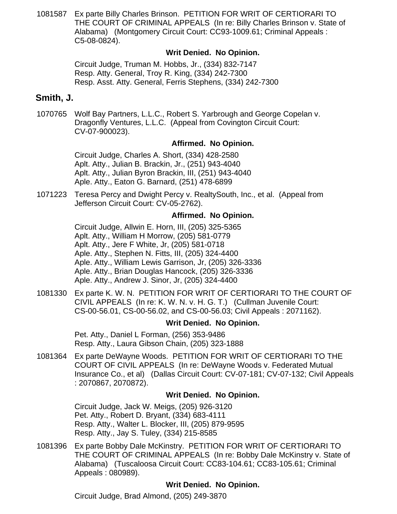[1081587](https://efile.judicial.state.al.us/displaydocs.cfm?no=179894&event=2QT0RO195) Ex parte Billy Charles Brinson. PETITION FOR WRIT OF CERTIORARI TO THE COURT OF CRIMINAL APPEALS (In re: Billy Charles Brinson v. State of Alabama) (Montgomery Circuit Court: CC93-1009.61; Criminal Appeals : C5-08-0824).

### **[Writ Denied. No Opinion.](https://efile.judicial.state.al.us/displaydocs.cfm?no=179894&event=2QT0RO195)**

Circuit Judge, Truman M. Hobbs, Jr., (334) 832-7147 Resp. Atty. General, Troy R. King, (334) 242-7300 Resp. Asst. Atty. General, Ferris Stephens, (334) 242-7300

## **Smith, J.**

1070765 Wolf Bay Partners, L.L.C., Robert S. Yarbrough and George Copelan v. Dragonfly Ventures, L.L.C. (Appeal from Covington Circuit Court: CV-07-900023).

### **Affirmed. No Opinion.**

Circuit Judge, Charles A. Short, (334) 428-2580 Aplt. Atty., Julian B. Brackin, Jr., (251) 943-4040 Aplt. Atty., Julian Byron Brackin, III, (251) 943-4040 Aple. Atty., Eaton G. Barnard, (251) 478-6899

1071223 Teresa Percy and Dwight Percy v. RealtySouth, Inc., et al. (Appeal from Jefferson Circuit Court: CV-05-2762).

### **Affirmed. No Opinion.**

Circuit Judge, Allwin E. Horn, III, (205) 325-5365 Aplt. Atty., William H Morrow, (205) 581-0779 Aplt. Atty., Jere F White, Jr, (205) 581-0718 Aple. Atty., Stephen N. Fitts, III, (205) 324-4400 Aple. Atty., William Lewis Garrison, Jr, (205) 326-3336 Aple. Atty., Brian Douglas Hancock, (205) 326-3336 Aple. Atty., Andrew J. Sinor, Jr, (205) 324-4400

[1081330](https://efile.judicial.state.al.us/displaydocs.cfm?no=179895&event=2QT0ROH8X) Ex parte K. W. N. PETITION FOR WRIT OF CERTIORARI TO THE COURT OF CIVIL APPEALS (In re: K. W. N. v. H. G. T.) (Cullman Juvenile Court: CS-00-56.01, CS-00-56.02, and CS-00-56.03; Civil Appeals : 2071162).

### **[Writ Denied. No Opinion.](https://efile.judicial.state.al.us/displaydocs.cfm?no=179895&event=2QT0ROH8X)**

Pet. Atty., Daniel L Forman, (256) 353-9486 Resp. Atty., Laura Gibson Chain, (205) 323-1888

[1081364](https://efile.judicial.state.al.us/displaydocs.cfm?no=179896&event=2QT0ROSO5) Ex parte DeWayne Woods. PETITION FOR WRIT OF CERTIORARI TO THE COURT OF CIVIL APPEALS (In re: DeWayne Woods v. Federated Mutual Insurance Co., et al) (Dallas Circuit Court: CV-07-181; CV-07-132; Civil Appeals : 2070867, 2070872).

#### **[Writ Denied. No Opinion.](https://efile.judicial.state.al.us/displaydocs.cfm?no=179896&event=2QT0ROSO5)**

Circuit Judge, Jack W. Meigs, (205) 926-3120 Pet. Atty., Robert D. Bryant, (334) 683-4111 Resp. Atty., Walter L. Blocker, III, (205) 879-9595 Resp. Atty., Jay S. Tuley, (334) 215-8585

[1081396](https://efile.judicial.state.al.us/displaydocs.cfm?no=179897&event=2QT0RPB9G) Ex parte Bobby Dale McKinstry. PETITION FOR WRIT OF CERTIORARI TO THE COURT OF CRIMINAL APPEALS (In re: Bobby Dale McKinstry v. State of Alabama) (Tuscaloosa Circuit Court: CC83-104.61; CC83-105.61; Criminal Appeals : 080989).

### **[Writ Denied. No Opinion.](https://efile.judicial.state.al.us/displaydocs.cfm?no=179897&event=2QT0RPB9G)**

Circuit Judge, Brad Almond, (205) 249-3870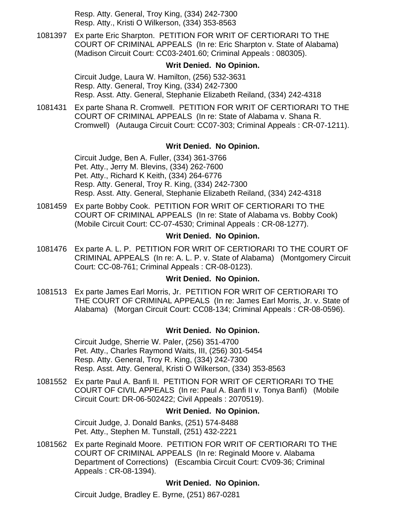Resp. Atty. General, Troy King, (334) 242-7300 Resp. Atty., Kristi O Wilkerson, (334) 353-8563

[1081397](https://efile.judicial.state.al.us/displaydocs.cfm?no=179898&event=2QT0RPTUH) Ex parte Eric Sharpton. PETITION FOR WRIT OF CERTIORARI TO THE COURT OF CRIMINAL APPEALS (In re: Eric Sharpton v. State of Alabama) (Madison Circuit Court: CC03-2401.60; Criminal Appeals : 080305).

### **[Writ Denied. No Opinion.](https://efile.judicial.state.al.us/displaydocs.cfm?no=179898&event=2QT0RPTUH)**

Circuit Judge, Laura W. Hamilton, (256) 532-3631 Resp. Atty. General, Troy King, (334) 242-7300 Resp. Asst. Atty. General, Stephanie Elizabeth Reiland, (334) 242-4318

[1081431](https://efile.judicial.state.al.us/displaydocs.cfm?no=179899&event=2QT0RQCR9) Ex parte Shana R. Cromwell. PETITION FOR WRIT OF CERTIORARI TO THE COURT OF CRIMINAL APPEALS (In re: State of Alabama v. Shana R. Cromwell) (Autauga Circuit Court: CC07-303; Criminal Appeals : CR-07-1211).

### **[Writ Denied. No Opinion.](https://efile.judicial.state.al.us/displaydocs.cfm?no=179899&event=2QT0RQCR9)**

Circuit Judge, Ben A. Fuller, (334) 361-3766 Pet. Atty., Jerry M. Blevins, (334) 262-7600 Pet. Atty., Richard K Keith, (334) 264-6776 Resp. Atty. General, Troy R. King, (334) 242-7300 Resp. Asst. Atty. General, Stephanie Elizabeth Reiland, (334) 242-4318

[1081459](https://efile.judicial.state.al.us/displaydocs.cfm?no=179900&event=2QT0RQOK1) Ex parte Bobby Cook. PETITION FOR WRIT OF CERTIORARI TO THE COURT OF CRIMINAL APPEALS (In re: State of Alabama vs. Bobby Cook) (Mobile Circuit Court: CC-07-4530; Criminal Appeals : CR-08-1277).

### **[Writ Denied. No Opinion.](https://efile.judicial.state.al.us/displaydocs.cfm?no=179900&event=2QT0RQOK1)**

[1081476](https://efile.judicial.state.al.us/displaydocs.cfm?no=179901&event=2QT0RR4N8) Ex parte A. L. P. PETITION FOR WRIT OF CERTIORARI TO THE COURT OF CRIMINAL APPEALS (In re: A. L. P. v. State of Alabama) (Montgomery Circuit Court: CC-08-761; Criminal Appeals : CR-08-0123).

### **[Writ Denied. No Opinion.](https://efile.judicial.state.al.us/displaydocs.cfm?no=179901&event=2QT0RR4N8)**

[1081513](https://efile.judicial.state.al.us/displaydocs.cfm?no=179902&event=2QT0RRIQR) Ex parte James Earl Morris, Jr. PETITION FOR WRIT OF CERTIORARI TO THE COURT OF CRIMINAL APPEALS (In re: James Earl Morris, Jr. v. State of Alabama) (Morgan Circuit Court: CC08-134; Criminal Appeals : CR-08-0596).

### **[Writ Denied. No Opinion.](https://efile.judicial.state.al.us/displaydocs.cfm?no=179902&event=2QT0RRIQR)**

Circuit Judge, Sherrie W. Paler, (256) 351-4700 Pet. Atty., Charles Raymond Waits, III, (256) 301-5454 Resp. Atty. General, Troy R. King, (334) 242-7300 Resp. Asst. Atty. General, Kristi O Wilkerson, (334) 353-8563

[1081552](https://efile.judicial.state.al.us/displaydocs.cfm?no=179903&event=2QT0RRU8R) Ex parte Paul A. Banfi II. PETITION FOR WRIT OF CERTIORARI TO THE COURT OF CIVIL APPEALS (In re: Paul A. Banfi II v. Tonya Banfi) (Mobile Circuit Court: DR-06-502422; Civil Appeals : 2070519).

### **[Writ Denied. No Opinion.](https://efile.judicial.state.al.us/displaydocs.cfm?no=179903&event=2QT0RRU8R)**

Circuit Judge, J. Donald Banks, (251) 574-8488 Pet. Atty., Stephen M. Tunstall, (251) 432-2221

[1081562](https://efile.judicial.state.al.us/displaydocs.cfm?no=179904&event=2QT0RSD6E) Ex parte Reginald Moore. PETITION FOR WRIT OF CERTIORARI TO THE COURT OF CRIMINAL APPEALS (In re: Reginald Moore v. Alabama Department of Corrections) (Escambia Circuit Court: CV09-36; Criminal Appeals : CR-08-1394).

### **[Writ Denied. No Opinion.](https://efile.judicial.state.al.us/displaydocs.cfm?no=179904&event=2QT0RSD6E)**

Circuit Judge, Bradley E. Byrne, (251) 867-0281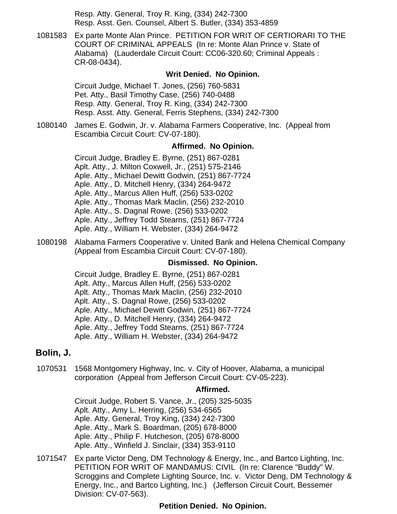Resp. Atty. General, Troy R. King, (334) 242-7300 Resp. Asst. Gen. Counsel, Albert S. Butler, (334) 353-4859

[1081583](https://efile.judicial.state.al.us/displaydocs.cfm?no=179906&event=2QT0RSUI4) Ex parte Monte Alan Prince. PETITION FOR WRIT OF CERTIORARI TO THE COURT OF CRIMINAL APPEALS (In re: Monte Alan Prince v. State of Alabama) (Lauderdale Circuit Court: CC06-320.60; Criminal Appeals : CR-08-0434).

#### **[Writ Denied. No Opinion.](https://efile.judicial.state.al.us/displaydocs.cfm?no=179906&event=2QT0RSUI4)**

Circuit Judge, Michael T. Jones, (256) 760-5831 Pet. Atty., Basil Timothy Case, (256) 740-0488 Resp. Atty. General, Troy R. King, (334) 242-7300 Resp. Asst. Atty. General, Ferris Stephens, (334) 242-7300

1080140 James E. Godwin, Jr. v. Alabama Farmers Cooperative, Inc. (Appeal from Escambia Circuit Court: CV-07-180).

### **Affirmed. No Opinion.**

Circuit Judge, Bradley E. Byrne, (251) 867-0281 Aplt. Atty., J. Milton Coxwell, Jr., (251) 575-2146 Aple. Atty., Michael Dewitt Godwin, (251) 867-7724 Aple. Atty., D. Mitchell Henry, (334) 264-9472 Aple. Atty., Marcus Allen Huff, (256) 533-0202 Aple. Atty., Thomas Mark Maclin, (256) 232-2010 Aple. Atty., S. Dagnal Rowe, (256) 533-0202 Aple. Atty., Jeffrey Todd Stearns, (251) 867-7724 Aple. Atty., William H. Webster, (334) 264-9472

[1080198](https://efile.judicial.state.al.us/displaydocs.cfm?no=179951&event=2QT0S8SP1) Alabama Farmers Cooperative v. United Bank and Helena Chemical Company (Appeal from Escambia Circuit Court: CV-07-180).

#### **[Dismissed. No Opinion.](https://efile.judicial.state.al.us/displaydocs.cfm?no=179951&event=2QT0S8SP1)**

Circuit Judge, Bradley E. Byrne, (251) 867-0281 Aplt. Atty., Marcus Allen Huff, (256) 533-0202 Aplt. Atty., Thomas Mark Maclin, (256) 232-2010 Aplt. Atty., S. Dagnal Rowe, (256) 533-0202 Aple. Atty., Michael Dewitt Godwin, (251) 867-7724 Aple. Atty., D. Mitchell Henry, (334) 264-9472 Aple. Atty., Jeffrey Todd Stearns, (251) 867-7724 Aple. Atty., William H. Webster, (334) 264-9472

#### **Bolin, J.**

[1070531](https://efile.judicial.state.al.us/displaydocs.cfm?no=179955&event=2QT0SB9T4) 1568 Montgomery Highway, Inc. v. City of Hoover, Alabama, a municipal corporation (Appeal from Jefferson Circuit Court: CV-05-223).

#### **[Affirmed.](https://efile.judicial.state.al.us/displaydocs.cfm?no=179955&event=2QT0SB9T4)**

Circuit Judge, Robert S. Vance, Jr., (205) 325-5035 Aplt. Atty., Amy L. Herring, (256) 534-6565 Aple. Atty. General, Troy King, (334) 242-7300 Aple. Atty., Mark S. Boardman, (205) 678-8000 Aple. Atty., Philip F. Hutcheson, (205) 678-8000 Aple. Atty., Winfield J. Sinclair, (334) 353-9110

[1071547](https://efile.judicial.state.al.us/displaydocs.cfm?no=179849&event=2QT0R4LGS) Ex parte Victor Deng, DM Technology & Energy, Inc., and Bartco Lighting, Inc. PETITION FOR WRIT OF MANDAMUS: CIVIL (In re: Clarence "Buddy" W. Scroggins and Complete Lighting Source, Inc. v. Victor Deng, DM Technology & Energy, Inc., and Bartco Lighting, Inc.) (Jefferson Circuit Court, Bessemer Division: CV-07-563).

#### **[Petition Denied. No Opinion.](https://efile.judicial.state.al.us/displaydocs.cfm?no=179849&event=2QT0R4LGS)**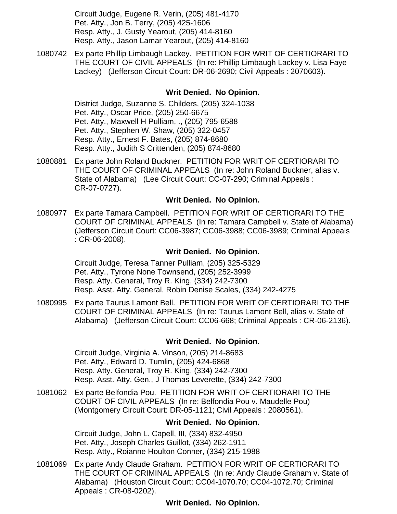Circuit Judge, Eugene R. Verin, (205) 481-4170 Pet. Atty., Jon B. Terry, (205) 425-1606 Resp. Atty., J. Gusty Yearout, (205) 414-8160 Resp. Atty., Jason Lamar Yearout, (205) 414-8160

[1080742](https://efile.judicial.state.al.us/displaydocs.cfm?no=179907&event=2QT0RT50F) Ex parte Phillip Limbaugh Lackey. PETITION FOR WRIT OF CERTIORARI TO THE COURT OF CIVIL APPEALS (In re: Phillip Limbaugh Lackey v. Lisa Faye Lackey) (Jefferson Circuit Court: DR-06-2690; Civil Appeals : 2070603).

### **[Writ Denied. No Opinion.](https://efile.judicial.state.al.us/displaydocs.cfm?no=179907&event=2QT0RT50F)**

District Judge, Suzanne S. Childers, (205) 324-1038 Pet. Atty., Oscar Price, (205) 250-6675 Pet. Atty., Maxwell H Pulliam, ., (205) 795-6588 Pet. Atty., Stephen W. Shaw, (205) 322-0457 Resp. Atty., Ernest F. Bates, (205) 874-8680 Resp. Atty., Judith S Crittenden, (205) 874-8680

[1080881](https://efile.judicial.state.al.us/displaydocs.cfm?no=179908&event=2QT0RTM2C) Ex parte John Roland Buckner. PETITION FOR WRIT OF CERTIORARI TO THE COURT OF CRIMINAL APPEALS (In re: John Roland Buckner, alias v. State of Alabama) (Lee Circuit Court: CC-07-290; Criminal Appeals : CR-07-0727).

#### **[Writ Denied. No Opinion.](https://efile.judicial.state.al.us/displaydocs.cfm?no=179908&event=2QT0RTM2C)**

[1080977](https://efile.judicial.state.al.us/displaydocs.cfm?no=179909&event=2QT0RTWFT) Ex parte Tamara Campbell. PETITION FOR WRIT OF CERTIORARI TO THE COURT OF CRIMINAL APPEALS (In re: Tamara Campbell v. State of Alabama) (Jefferson Circuit Court: CC06-3987; CC06-3988; CC06-3989; Criminal Appeals : CR-06-2008).

#### **[Writ Denied. No Opinion.](https://efile.judicial.state.al.us/displaydocs.cfm?no=179909&event=2QT0RTWFT)**

Circuit Judge, Teresa Tanner Pulliam, (205) 325-5329 Pet. Atty., Tyrone None Townsend, (205) 252-3999 Resp. Atty. General, Troy R. King, (334) 242-7300 Resp. Asst. Atty. General, Robin Denise Scales, (334) 242-4275

[1080995](https://efile.judicial.state.al.us/displaydocs.cfm?no=179910&event=2QT0RU7OZ) Ex parte Taurus Lamont Bell. PETITION FOR WRIT OF CERTIORARI TO THE COURT OF CRIMINAL APPEALS (In re: Taurus Lamont Bell, alias v. State of Alabama) (Jefferson Circuit Court: CC06-668; Criminal Appeals : CR-06-2136).

#### **[Writ Denied. No Opinion.](https://efile.judicial.state.al.us/displaydocs.cfm?no=179910&event=2QT0RU7OZ)**

Circuit Judge, Virginia A. Vinson, (205) 214-8683 Pet. Atty., Edward D. Tumlin, (205) 424-6868 Resp. Atty. General, Troy R. King, (334) 242-7300 Resp. Asst. Atty. Gen., J Thomas Leverette, (334) 242-7300

[1081062](https://efile.judicial.state.al.us/displaydocs.cfm?no=179911&event=2QT0RUJ0F) Ex parte Belfondia Pou. PETITION FOR WRIT OF CERTIORARI TO THE COURT OF CIVIL APPEALS (In re: Belfondia Pou v. Maudelle Pou) (Montgomery Circuit Court: DR-05-1121; Civil Appeals : 2080561).

#### **[Writ Denied. No Opinion.](https://efile.judicial.state.al.us/displaydocs.cfm?no=179911&event=2QT0RUJ0F)**

Circuit Judge, John L. Capell, III, (334) 832-4950 Pet. Atty., Joseph Charles Guillot, (334) 262-1911 Resp. Atty., Roianne Houlton Conner, (334) 215-1988

[1081069](https://efile.judicial.state.al.us/displaydocs.cfm?no=179912&event=2QT0RV07E) Ex parte Andy Claude Graham. PETITION FOR WRIT OF CERTIORARI TO THE COURT OF CRIMINAL APPEALS (In re: Andy Claude Graham v. State of Alabama) (Houston Circuit Court: CC04-1070.70; CC04-1072.70; Criminal Appeals : CR-08-0202).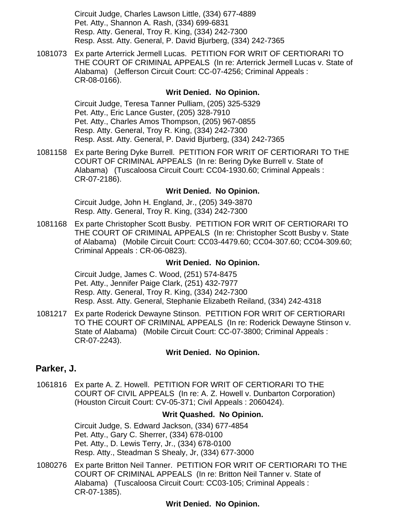Circuit Judge, Charles Lawson Little, (334) 677-4889 Pet. Atty., Shannon A. Rash, (334) 699-6831 Resp. Atty. General, Troy R. King, (334) 242-7300 Resp. Asst. Atty. General, P. David Bjurberg, (334) 242-7365

[1081073](https://efile.judicial.state.al.us/displaydocs.cfm?no=179913&event=2QT0RVE6V) Ex parte Arterrick Jermell Lucas. PETITION FOR WRIT OF CERTIORARI TO THE COURT OF CRIMINAL APPEALS (In re: Arterrick Jermell Lucas v. State of Alabama) (Jefferson Circuit Court: CC-07-4256; Criminal Appeals : CR-08-0166).

### **[Writ Denied. No Opinion.](https://efile.judicial.state.al.us/displaydocs.cfm?no=179913&event=2QT0RVE6V)**

Circuit Judge, Teresa Tanner Pulliam, (205) 325-5329 Pet. Atty., Eric Lance Guster, (205) 328-7910 Pet. Atty., Charles Amos Thompson, (205) 967-0855 Resp. Atty. General, Troy R. King, (334) 242-7300 Resp. Asst. Atty. General, P. David Bjurberg, (334) 242-7365

[1081158](https://efile.judicial.state.al.us/displaydocs.cfm?no=179914&event=2QT0RVV2L) Ex parte Bering Dyke Burrell. PETITION FOR WRIT OF CERTIORARI TO THE COURT OF CRIMINAL APPEALS (In re: Bering Dyke Burrell v. State of Alabama) (Tuscaloosa Circuit Court: CC04-1930.60; Criminal Appeals : CR-07-2186).

### **[Writ Denied. No Opinion.](https://efile.judicial.state.al.us/displaydocs.cfm?no=179914&event=2QT0RVV2L)**

Circuit Judge, John H. England, Jr., (205) 349-3870 Resp. Atty. General, Troy R. King, (334) 242-7300

[1081168](https://efile.judicial.state.al.us/displaydocs.cfm?no=179915&event=2QT0RWIH1) Ex parte Christopher Scott Busby. PETITION FOR WRIT OF CERTIORARI TO THE COURT OF CRIMINAL APPEALS (In re: Christopher Scott Busby v. State of Alabama) (Mobile Circuit Court: CC03-4479.60; CC04-307.60; CC04-309.60; Criminal Appeals : CR-06-0823).

#### **[Writ Denied. No Opinion.](https://efile.judicial.state.al.us/displaydocs.cfm?no=179915&event=2QT0RWIH1)**

Circuit Judge, James C. Wood, (251) 574-8475 Pet. Atty., Jennifer Paige Clark, (251) 432-7977 Resp. Atty. General, Troy R. King, (334) 242-7300 Resp. Asst. Atty. General, Stephanie Elizabeth Reiland, (334) 242-4318

[1081217](https://efile.judicial.state.al.us/displaydocs.cfm?no=179916&event=2QT0RWUF2) Ex parte Roderick Dewayne Stinson. PETITION FOR WRIT OF CERTIORARI TO THE COURT OF CRIMINAL APPEALS (In re: Roderick Dewayne Stinson v. State of Alabama) (Mobile Circuit Court: CC-07-3800; Criminal Appeals : CR-07-2243).

#### **[Writ Denied. No Opinion.](https://efile.judicial.state.al.us/displaydocs.cfm?no=179916&event=2QT0RWUF2)**

### **Parker, J.**

[1061816](https://efile.judicial.state.al.us/displaydocs.cfm?no=179917&event=2QT0RX6CC) Ex parte A. Z. Howell. PETITION FOR WRIT OF CERTIORARI TO THE COURT OF CIVIL APPEALS (In re: A. Z. Howell v. Dunbarton Corporation) (Houston Circuit Court: CV-05-371; Civil Appeals : 2060424).

#### **[Writ Quashed. No Opinion.](https://efile.judicial.state.al.us/displaydocs.cfm?no=179917&event=2QT0RX6CC)**

Circuit Judge, S. Edward Jackson, (334) 677-4854 Pet. Atty., Gary C. Sherrer, (334) 678-0100 Pet. Atty., D. Lewis Terry, Jr., (334) 678-0100 Resp. Atty., Steadman S Shealy, Jr, (334) 677-3000

[1080276](https://efile.judicial.state.al.us/displaydocs.cfm?no=179918&event=2QT0RXNOG) Ex parte Britton Neil Tanner. PETITION FOR WRIT OF CERTIORARI TO THE COURT OF CRIMINAL APPEALS (In re: Britton Neil Tanner v. State of Alabama) (Tuscaloosa Circuit Court: CC03-105; Criminal Appeals : CR-07-1385).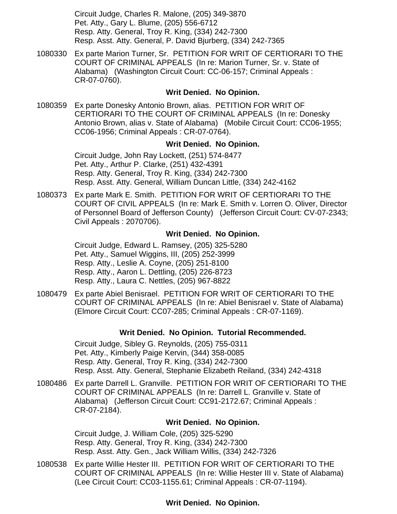Circuit Judge, Charles R. Malone, (205) 349-3870 Pet. Atty., Gary L. Blume, (205) 556-6712 Resp. Atty. General, Troy R. King, (334) 242-7300 Resp. Asst. Atty. General, P. David Bjurberg, (334) 242-7365

[1080330](https://efile.judicial.state.al.us/displaydocs.cfm?no=179919&event=2QT0RXYEF) Ex parte Marion Turner, Sr. PETITION FOR WRIT OF CERTIORARI TO THE COURT OF CRIMINAL APPEALS (In re: Marion Turner, Sr. v. State of Alabama) (Washington Circuit Court: CC-06-157; Criminal Appeals : CR-07-0760).

#### **[Writ Denied. No Opinion.](https://efile.judicial.state.al.us/displaydocs.cfm?no=179919&event=2QT0RXYEF)**

[1080359](https://efile.judicial.state.al.us/displaydocs.cfm?no=179920&event=2QT0RY8ZQ) Ex parte Donesky Antonio Brown, alias. PETITION FOR WRIT OF CERTIORARI TO THE COURT OF CRIMINAL APPEALS (In re: Donesky Antonio Brown, alias v. State of Alabama) (Mobile Circuit Court: CC06-1955; CC06-1956; Criminal Appeals : CR-07-0764).

### **[Writ Denied. No Opinion.](https://efile.judicial.state.al.us/displaydocs.cfm?no=179920&event=2QT0RY8ZQ)**

Circuit Judge, John Ray Lockett, (251) 574-8477 Pet. Atty., Arthur P. Clarke, (251) 432-4391 Resp. Atty. General, Troy R. King, (334) 242-7300 Resp. Asst. Atty. General, William Duncan Little, (334) 242-4162

[1080373](https://efile.judicial.state.al.us/displaydocs.cfm?no=179921&event=2QT0RYL62) Ex parte Mark E. Smith. PETITION FOR WRIT OF CERTIORARI TO THE COURT OF CIVIL APPEALS (In re: Mark E. Smith v. Lorren O. Oliver, Director of Personnel Board of Jefferson County) (Jefferson Circuit Court: CV-07-2343; Civil Appeals : 2070706).

### **[Writ Denied. No Opinion.](https://efile.judicial.state.al.us/displaydocs.cfm?no=179921&event=2QT0RYL62)**

Circuit Judge, Edward L. Ramsey, (205) 325-5280 Pet. Atty., Samuel Wiggins, III, (205) 252-3999 Resp. Atty., Leslie A. Coyne, (205) 251-8100 Resp. Atty., Aaron L. Dettling, (205) 226-8723 Resp. Atty., Laura C. Nettles, (205) 967-8822

[1080479](https://efile.judicial.state.al.us/displaydocs.cfm?no=179922&event=2QT0RZ0GH) Ex parte Abiel Benisrael. PETITION FOR WRIT OF CERTIORARI TO THE COURT OF CRIMINAL APPEALS (In re: Abiel Benisrael v. State of Alabama) (Elmore Circuit Court: CC07-285; Criminal Appeals : CR-07-1169).

### **[Writ Denied. No Opinion. Tutorial Recommended.](https://efile.judicial.state.al.us/displaydocs.cfm?no=179922&event=2QT0RZ0GH)**

Circuit Judge, Sibley G. Reynolds, (205) 755-0311 Pet. Atty., Kimberly Paige Kervin, (344) 358-0085 Resp. Atty. General, Troy R. King, (334) 242-7300 Resp. Asst. Atty. General, Stephanie Elizabeth Reiland, (334) 242-4318

[1080486](https://efile.judicial.state.al.us/displaydocs.cfm?no=179923&event=2QT0RZC1I) Ex parte Darrell L. Granville. PETITION FOR WRIT OF CERTIORARI TO THE COURT OF CRIMINAL APPEALS (In re: Darrell L. Granville v. State of Alabama) (Jefferson Circuit Court: CC91-2172.67; Criminal Appeals : CR-07-2184).

#### **[Writ Denied. No Opinion.](https://efile.judicial.state.al.us/displaydocs.cfm?no=179923&event=2QT0RZC1I)**

Circuit Judge, J. William Cole, (205) 325-5290 Resp. Atty. General, Troy R. King, (334) 242-7300 Resp. Asst. Atty. Gen., Jack William Willis, (334) 242-7326

[1080538](https://efile.judicial.state.al.us/displaydocs.cfm?no=179924&event=2QT0RZTB8) Ex parte Willie Hester III. PETITION FOR WRIT OF CERTIORARI TO THE COURT OF CRIMINAL APPEALS (In re: Willie Hester III v. State of Alabama) (Lee Circuit Court: CC03-1155.61; Criminal Appeals : CR-07-1194).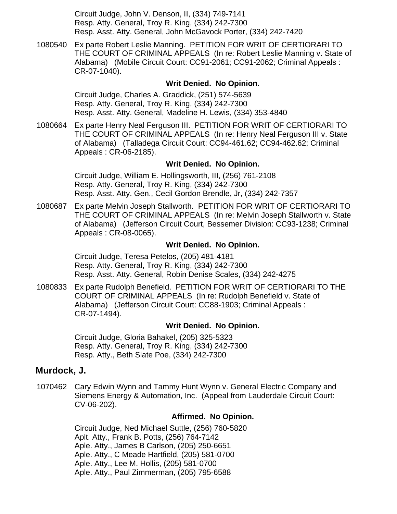Circuit Judge, John V. Denson, II, (334) 749-7141 Resp. Atty. General, Troy R. King, (334) 242-7300 Resp. Asst. Atty. General, John McGavock Porter, (334) 242-7420

[1080540](https://efile.judicial.state.al.us/displaydocs.cfm?no=179925&event=2QT0S09QJ) Ex parte Robert Leslie Manning. PETITION FOR WRIT OF CERTIORARI TO THE COURT OF CRIMINAL APPEALS (In re: Robert Leslie Manning v. State of Alabama) (Mobile Circuit Court: CC91-2061; CC91-2062; Criminal Appeals : CR-07-1040).

#### **[Writ Denied. No Opinion.](https://efile.judicial.state.al.us/displaydocs.cfm?no=179925&event=2QT0S09QJ)**

Circuit Judge, Charles A. Graddick, (251) 574-5639 Resp. Atty. General, Troy R. King, (334) 242-7300 Resp. Asst. Atty. General, Madeline H. Lewis, (334) 353-4840

[1080664](https://efile.judicial.state.al.us/displaydocs.cfm?no=179926&event=2QT0S0NRI) Ex parte Henry Neal Ferguson III. PETITION FOR WRIT OF CERTIORARI TO THE COURT OF CRIMINAL APPEALS (In re: Henry Neal Ferguson III v. State of Alabama) (Talladega Circuit Court: CC94-461.62; CC94-462.62; Criminal Appeals : CR-06-2185).

#### **[Writ Denied. No Opinion.](https://efile.judicial.state.al.us/displaydocs.cfm?no=179926&event=2QT0S0NRI)**

Circuit Judge, William E. Hollingsworth, III, (256) 761-2108 Resp. Atty. General, Troy R. King, (334) 242-7300 Resp. Asst. Atty. Gen., Cecil Gordon Brendle, Jr, (334) 242-7357

[1080687](https://efile.judicial.state.al.us/displaydocs.cfm?no=179927&event=2QT0S10YM) Ex parte Melvin Joseph Stallworth. PETITION FOR WRIT OF CERTIORARI TO THE COURT OF CRIMINAL APPEALS (In re: Melvin Joseph Stallworth v. State of Alabama) (Jefferson Circuit Court, Bessemer Division: CC93-1238; Criminal Appeals : CR-08-0065).

#### **[Writ Denied. No Opinion.](https://efile.judicial.state.al.us/displaydocs.cfm?no=179927&event=2QT0S10YM)**

Circuit Judge, Teresa Petelos, (205) 481-4181 Resp. Atty. General, Troy R. King, (334) 242-7300 Resp. Asst. Atty. General, Robin Denise Scales, (334) 242-4275

[1080833](https://efile.judicial.state.al.us/displaydocs.cfm?no=179928&event=2QT0S1GTL) Ex parte Rudolph Benefield. PETITION FOR WRIT OF CERTIORARI TO THE COURT OF CRIMINAL APPEALS (In re: Rudolph Benefield v. State of Alabama) (Jefferson Circuit Court: CC88-1903; Criminal Appeals : CR-07-1494).

#### **[Writ Denied. No Opinion.](https://efile.judicial.state.al.us/displaydocs.cfm?no=179928&event=2QT0S1GTL)**

Circuit Judge, Gloria Bahakel, (205) 325-5323 Resp. Atty. General, Troy R. King, (334) 242-7300 Resp. Atty., Beth Slate Poe, (334) 242-7300

### **Murdock, J.**

1070462 Cary Edwin Wynn and Tammy Hunt Wynn v. General Electric Company and Siemens Energy & Automation, Inc. (Appeal from Lauderdale Circuit Court: CV-06-202).

#### **Affirmed. No Opinion.**

Circuit Judge, Ned Michael Suttle, (256) 760-5820 Aplt. Atty., Frank B. Potts, (256) 764-7142 Aple. Atty., James B Carlson, (205) 250-6651 Aple. Atty., C Meade Hartfield, (205) 581-0700 Aple. Atty., Lee M. Hollis, (205) 581-0700 Aple. Atty., Paul Zimmerman, (205) 795-6588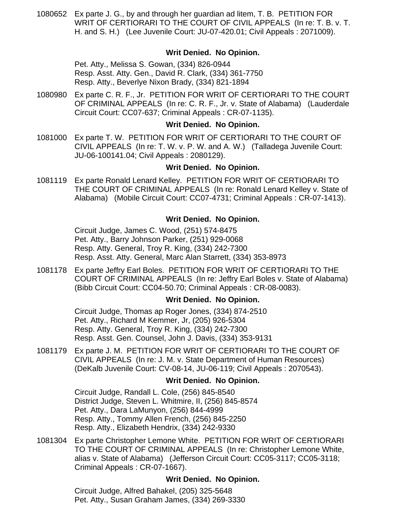[1080652](https://efile.judicial.state.al.us/displaydocs.cfm?no=179929&event=2QT0S1VAE) Ex parte J. G., by and through her guardian ad litem, T. B. PETITION FOR WRIT OF CERTIORARI TO THE COURT OF CIVIL APPEALS (In re: T. B. v. T. H. and S. H.) (Lee Juvenile Court: JU-07-420.01; Civil Appeals : 2071009).

### **[Writ Denied. No Opinion.](https://efile.judicial.state.al.us/displaydocs.cfm?no=179929&event=2QT0S1VAE)**

Pet. Atty., Melissa S. Gowan, (334) 826-0944 Resp. Asst. Atty. Gen., David R. Clark, (334) 361-7750 Resp. Atty., Beverlye Nixon Brady, (334) 821-1894

[1080980](https://efile.judicial.state.al.us/displaydocs.cfm?no=179930&event=2QT0S2OSY) Ex parte C. R. F., Jr. PETITION FOR WRIT OF CERTIORARI TO THE COURT OF CRIMINAL APPEALS (In re: C. R. F., Jr. v. State of Alabama) (Lauderdale Circuit Court: CC07-637; Criminal Appeals : CR-07-1135).

#### **[Writ Denied. No Opinion.](https://efile.judicial.state.al.us/displaydocs.cfm?no=179930&event=2QT0S2OSY)**

[1081000](https://efile.judicial.state.al.us/displaydocs.cfm?no=179932&event=2QT0S30L1) Ex parte T. W. PETITION FOR WRIT OF CERTIORARI TO THE COURT OF CIVIL APPEALS (In re: T. W. v. P. W. and A. W.) (Talladega Juvenile Court: JU-06-100141.04; Civil Appeals : 2080129).

#### **[Writ Denied. No Opinion.](https://efile.judicial.state.al.us/displaydocs.cfm?no=179932&event=2QT0S30L1)**

[1081119](https://efile.judicial.state.al.us/displaydocs.cfm?no=179933&event=2QT0S3M0W) Ex parte Ronald Lenard Kelley. PETITION FOR WRIT OF CERTIORARI TO THE COURT OF CRIMINAL APPEALS (In re: Ronald Lenard Kelley v. State of Alabama) (Mobile Circuit Court: CC07-4731; Criminal Appeals : CR-07-1413).

### **[Writ Denied. No Opinion.](https://efile.judicial.state.al.us/displaydocs.cfm?no=179933&event=2QT0S3M0W)**

Circuit Judge, James C. Wood, (251) 574-8475 Pet. Atty., Barry Johnson Parker, (251) 929-0068 Resp. Atty. General, Troy R. King, (334) 242-7300 Resp. Asst. Atty. General, Marc Alan Starrett, (334) 353-8973

[1081178](https://efile.judicial.state.al.us/displaydocs.cfm?no=179934&event=2QT0S3XAF) Ex parte Jeffry Earl Boles. PETITION FOR WRIT OF CERTIORARI TO THE COURT OF CRIMINAL APPEALS (In re: Jeffry Earl Boles v. State of Alabama) (Bibb Circuit Court: CC04-50.70; Criminal Appeals : CR-08-0083).

# **[Writ Denied. No Opinion.](https://efile.judicial.state.al.us/displaydocs.cfm?no=179934&event=2QT0S3XAF)**

Circuit Judge, Thomas ap Roger Jones, (334) 874-2510 Pet. Atty., Richard M Kemmer, Jr, (205) 926-5304 Resp. Atty. General, Troy R. King, (334) 242-7300 Resp. Asst. Gen. Counsel, John J. Davis, (334) 353-9131

[1081179](https://efile.judicial.state.al.us/displaydocs.cfm?no=179935&event=2QT0S48BZ) Ex parte J. M. PETITION FOR WRIT OF CERTIORARI TO THE COURT OF CIVIL APPEALS (In re: J. M. v. State Department of Human Resources) (DeKalb Juvenile Court: CV-08-14, JU-06-119; Civil Appeals : 2070543).

#### **[Writ Denied. No Opinion.](https://efile.judicial.state.al.us/displaydocs.cfm?no=179935&event=2QT0S48BZ)**

Circuit Judge, Randall L. Cole, (256) 845-8540 District Judge, Steven L. Whitmire, II, (256) 845-8574 Pet. Atty., Dara LaMunyon, (256) 844-4999 Resp. Atty., Tommy Allen French, (256) 845-2250 Resp. Atty., Elizabeth Hendrix, (334) 242-9330

[1081304](https://efile.judicial.state.al.us/displaydocs.cfm?no=179937&event=2QT0S4MTB) Ex parte Christopher Lemone White. PETITION FOR WRIT OF CERTIORARI TO THE COURT OF CRIMINAL APPEALS (In re: Christopher Lemone White, alias v. State of Alabama) (Jefferson Circuit Court: CC05-3117; CC05-3118; Criminal Appeals : CR-07-1667).

### **[Writ Denied. No Opinion.](https://efile.judicial.state.al.us/displaydocs.cfm?no=179937&event=2QT0S4MTB)**

Circuit Judge, Alfred Bahakel, (205) 325-5648 Pet. Atty., Susan Graham James, (334) 269-3330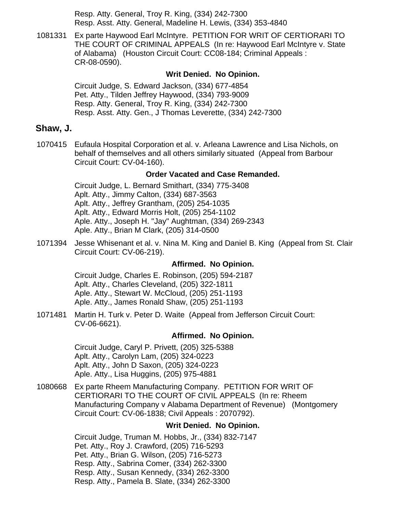Resp. Atty. General, Troy R. King, (334) 242-7300 Resp. Asst. Atty. General, Madeline H. Lewis, (334) 353-4840

[1081331](https://efile.judicial.state.al.us/displaydocs.cfm?no=179939&event=2QT0S4XP5) Ex parte Haywood Earl McIntyre. PETITION FOR WRIT OF CERTIORARI TO THE COURT OF CRIMINAL APPEALS (In re: Haywood Earl McIntyre v. State of Alabama) (Houston Circuit Court: CC08-184; Criminal Appeals : CR-08-0590).

#### **[Writ Denied. No Opinion.](https://efile.judicial.state.al.us/displaydocs.cfm?no=179939&event=2QT0S4XP5)**

Circuit Judge, S. Edward Jackson, (334) 677-4854 Pet. Atty., Tilden Jeffrey Haywood, (334) 793-9009 Resp. Atty. General, Troy R. King, (334) 242-7300 Resp. Asst. Atty. Gen., J Thomas Leverette, (334) 242-7300

### **Shaw, J.**

[1070415](https://efile.judicial.state.al.us/displaydocs.cfm?no=179954&event=2QT0SB9P0) Eufaula Hospital Corporation et al. v. Arleana Lawrence and Lisa Nichols, on behalf of themselves and all others similarly situated (Appeal from Barbour Circuit Court: CV-04-160).

#### **[Order Vacated and Case Remanded.](https://efile.judicial.state.al.us/displaydocs.cfm?no=179954&event=2QT0SB9P0)**

Circuit Judge, L. Bernard Smithart, (334) 775-3408 Aplt. Atty., Jimmy Calton, (334) 687-3563 Aplt. Atty., Jeffrey Grantham, (205) 254-1035 Aplt. Atty., Edward Morris Holt, (205) 254-1102 Aple. Atty., Joseph H. "Jay" Aughtman, (334) 269-2343 Aple. Atty., Brian M Clark, (205) 314-0500

1071394 Jesse Whisenant et al. v. Nina M. King and Daniel B. King (Appeal from St. Clair Circuit Court: CV-06-219).

#### **Affirmed. No Opinion.**

Circuit Judge, Charles E. Robinson, (205) 594-2187 Aplt. Atty., Charles Cleveland, (205) 322-1811 Aple. Atty., Stewart W. McCloud, (205) 251-1193 Aple. Atty., James Ronald Shaw, (205) 251-1193

1071481 Martin H. Turk v. Peter D. Waite (Appeal from Jefferson Circuit Court: CV-06-6621).

#### **Affirmed. No Opinion.**

Circuit Judge, Caryl P. Privett, (205) 325-5388 Aplt. Atty., Carolyn Lam, (205) 324-0223 Aplt. Atty., John D Saxon, (205) 324-0223 Aple. Atty., Lisa Huggins, (205) 975-4881

[1080668](https://efile.judicial.state.al.us/displaydocs.cfm?no=179941&event=2QT0S5C0X) Ex parte Rheem Manufacturing Company. PETITION FOR WRIT OF CERTIORARI TO THE COURT OF CIVIL APPEALS (In re: Rheem Manufacturing Company v Alabama Department of Revenue) (Montgomery Circuit Court: CV-06-1838; Civil Appeals : 2070792).

### **[Writ Denied. No Opinion.](https://efile.judicial.state.al.us/displaydocs.cfm?no=179941&event=2QT0S5C0X)**

Circuit Judge, Truman M. Hobbs, Jr., (334) 832-7147 Pet. Atty., Roy J. Crawford, (205) 716-5293 Pet. Atty., Brian G. Wilson, (205) 716-5273 Resp. Atty., Sabrina Comer, (334) 262-3300 Resp. Atty., Susan Kennedy, (334) 262-3300 Resp. Atty., Pamela B. Slate, (334) 262-3300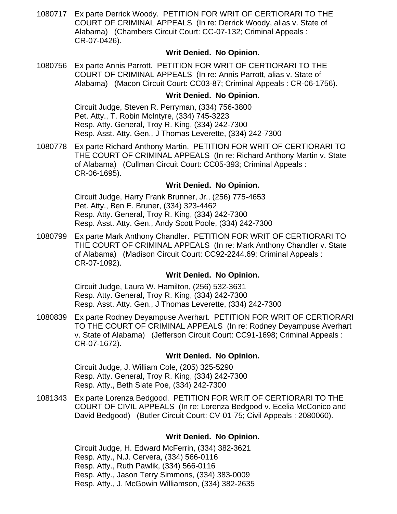[1080717](https://efile.judicial.state.al.us/displaydocs.cfm?no=179942&event=2QT0S5MU4) Ex parte Derrick Woody. PETITION FOR WRIT OF CERTIORARI TO THE COURT OF CRIMINAL APPEALS (In re: Derrick Woody, alias v. State of Alabama) (Chambers Circuit Court: CC-07-132; Criminal Appeals : CR-07-0426).

### **[Writ Denied. No Opinion.](https://efile.judicial.state.al.us/displaydocs.cfm?no=179942&event=2QT0S5MU4)**

[1080756](https://efile.judicial.state.al.us/displaydocs.cfm?no=179943&event=2QT0S5XD6) Ex parte Annis Parrott. PETITION FOR WRIT OF CERTIORARI TO THE COURT OF CRIMINAL APPEALS (In re: Annis Parrott, alias v. State of Alabama) (Macon Circuit Court: CC03-87; Criminal Appeals : CR-06-1756).

### **[Writ Denied. No Opinion.](https://efile.judicial.state.al.us/displaydocs.cfm?no=179943&event=2QT0S5XD6)**

Circuit Judge, Steven R. Perryman, (334) 756-3800 Pet. Atty., T. Robin McIntyre, (334) 745-3223 Resp. Atty. General, Troy R. King, (334) 242-7300 Resp. Asst. Atty. Gen., J Thomas Leverette, (334) 242-7300

[1080778](https://efile.judicial.state.al.us/displaydocs.cfm?no=179945&event=2QT0S6BRL) Ex parte Richard Anthony Martin. PETITION FOR WRIT OF CERTIORARI TO THE COURT OF CRIMINAL APPEALS (In re: Richard Anthony Martin v. State of Alabama) (Cullman Circuit Court: CC05-393; Criminal Appeals : CR-06-1695).

### **[Writ Denied. No Opinion.](https://efile.judicial.state.al.us/displaydocs.cfm?no=179945&event=2QT0S6BRL)**

Circuit Judge, Harry Frank Brunner, Jr., (256) 775-4653 Pet. Atty., Ben E. Bruner, (334) 323-4462 Resp. Atty. General, Troy R. King, (334) 242-7300 Resp. Asst. Atty. Gen., Andy Scott Poole, (334) 242-7300

[1080799](https://efile.judicial.state.al.us/displaydocs.cfm?no=179946&event=2QT0S6MEC) Ex parte Mark Anthony Chandler. PETITION FOR WRIT OF CERTIORARI TO THE COURT OF CRIMINAL APPEALS (In re: Mark Anthony Chandler v. State of Alabama) (Madison Circuit Court: CC92-2244.69; Criminal Appeals : CR-07-1092).

### **[Writ Denied. No Opinion.](https://efile.judicial.state.al.us/displaydocs.cfm?no=179946&event=2QT0S6MEC)**

Circuit Judge, Laura W. Hamilton, (256) 532-3631 Resp. Atty. General, Troy R. King, (334) 242-7300 Resp. Asst. Atty. Gen., J Thomas Leverette, (334) 242-7300

[1080839](https://efile.judicial.state.al.us/displaydocs.cfm?no=179947&event=2QT0S70OF) Ex parte Rodney Deyampuse Averhart. PETITION FOR WRIT OF CERTIORARI TO THE COURT OF CRIMINAL APPEALS (In re: Rodney Deyampuse Averhart v. State of Alabama) (Jefferson Circuit Court: CC91-1698; Criminal Appeals : CR-07-1672).

#### **[Writ Denied. No Opinion.](https://efile.judicial.state.al.us/displaydocs.cfm?no=179947&event=2QT0S70OF)**

Circuit Judge, J. William Cole, (205) 325-5290 Resp. Atty. General, Troy R. King, (334) 242-7300 Resp. Atty., Beth Slate Poe, (334) 242-7300

[1081343](https://efile.judicial.state.al.us/displaydocs.cfm?no=179948&event=2QT0S7GPZ) Ex parte Lorenza Bedgood. PETITION FOR WRIT OF CERTIORARI TO THE COURT OF CIVIL APPEALS (In re: Lorenza Bedgood v. Ecelia McConico and David Bedgood) (Butler Circuit Court: CV-01-75; Civil Appeals : 2080060).

#### **[Writ Denied. No Opinion.](https://efile.judicial.state.al.us/displaydocs.cfm?no=179948&event=2QT0S7GPZ)**

Circuit Judge, H. Edward McFerrin, (334) 382-3621 Resp. Atty., N.J. Cervera, (334) 566-0116 Resp. Atty., Ruth Pawlik, (334) 566-0116 Resp. Atty., Jason Terry Simmons, (334) 383-0009 Resp. Atty., J. McGowin Williamson, (334) 382-2635